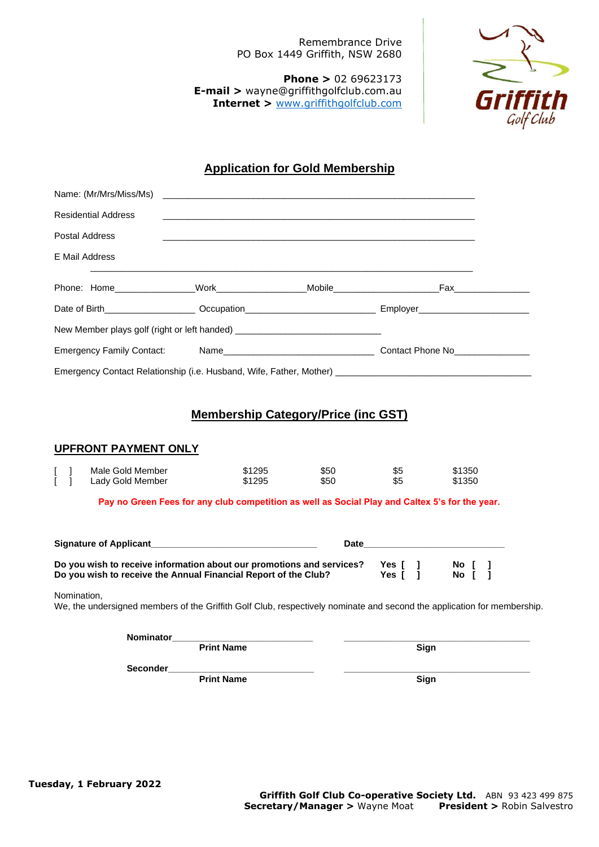Remembrance Drive PO Box 1449 Griffith, NSW 2680

**Phone >** 02 69623173 **E-mail >** wayne@griffithgolfclub.com.au **Internet >** [www.griffithgolfclub.com](http://www.griffithgolfclub.com/)



# **Application for Gold Membership**

|                                  | Name: (Mr/Mrs/Miss/Ms)                                                                                         | <u> 1989 - Johann Stoff, amerikansk politiker (* 1908)</u>                                     |                                            |            |                  |  |
|----------------------------------|----------------------------------------------------------------------------------------------------------------|------------------------------------------------------------------------------------------------|--------------------------------------------|------------|------------------|--|
|                                  | <b>Residential Address</b>                                                                                     |                                                                                                |                                            |            |                  |  |
|                                  | Postal Address                                                                                                 |                                                                                                |                                            |            |                  |  |
|                                  | E Mail Address                                                                                                 | ,我们也不能在这里的时候,我们也不能在这里的时候,我们也不能会在这里的时候,我们也不能会在这里的时候,我们也不能会在这里的时候,我们也不能会在这里的时候,我们也               |                                            |            |                  |  |
|                                  |                                                                                                                |                                                                                                |                                            |            |                  |  |
|                                  | Date of Birth______________________Occupation___________________________________ Employer_____________________ |                                                                                                |                                            |            |                  |  |
|                                  |                                                                                                                |                                                                                                |                                            |            |                  |  |
| <b>Emergency Family Contact:</b> |                                                                                                                |                                                                                                |                                            |            |                  |  |
|                                  |                                                                                                                |                                                                                                |                                            |            |                  |  |
|                                  |                                                                                                                |                                                                                                |                                            |            |                  |  |
|                                  |                                                                                                                |                                                                                                | <b>Membership Category/Price (inc GST)</b> |            |                  |  |
|                                  | <b>UPFRONT PAYMENT ONLY</b>                                                                                    |                                                                                                |                                            |            |                  |  |
| - 1                              | Male Gold Member<br>Lady Gold Member                                                                           | \$1295<br>\$1295                                                                               | \$50<br>\$50                               | \$5<br>\$5 | \$1350<br>\$1350 |  |
|                                  |                                                                                                                | Pay no Green Fees for any club competition as well as Social Play and Caltex 5's for the year. |                                            |            |                  |  |
|                                  |                                                                                                                |                                                                                                |                                            |            |                  |  |
|                                  |                                                                                                                |                                                                                                |                                            |            |                  |  |

| <b>Signature of Applicant</b>                                                                                                            | <b>Date</b> |                    |               |  |  |
|------------------------------------------------------------------------------------------------------------------------------------------|-------------|--------------------|---------------|--|--|
| Do you wish to receive information about our promotions and services?<br>Do you wish to receive the Annual Financial Report of the Club? |             | Yes [ 1<br>Yes [ 1 | No l<br>No II |  |  |

Nomination,

We, the undersigned members of the Griffith Golf Club, respectively nominate and second the application for membership.

| <b>Nominator</b> |                   |      |
|------------------|-------------------|------|
|                  | <b>Print Name</b> | Sign |
| <b>Seconder</b>  |                   |      |
|                  | <b>Print Name</b> | Sign |